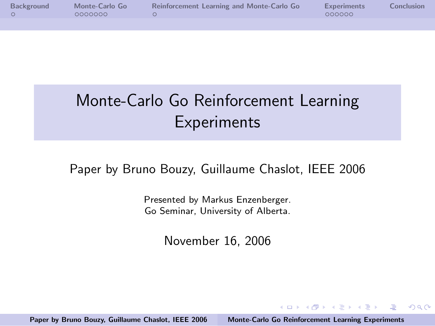| Background | Monte-Carlo Go | Reinforcement Learning and Monte-Carlo Go | <b>Experiments</b> | Conclusion |
|------------|----------------|-------------------------------------------|--------------------|------------|
|            | 0000000        |                                           | 000000             |            |
|            |                |                                           |                    |            |

# Monte-Carlo Go Reinforcement Learning **Experiments**

#### Paper by Bruno Bouzy, Guillaume Chaslot, IEEE 2006

Presented by Markus Enzenberger. Go Seminar, University of Alberta.

November 16, 2006

Paper by Bruno Bouzy, Guillaume Chaslot, IEEE 2006 [Monte-Carlo Go Reinforcement Learning Experiments](#page-18-0)

<span id="page-0-0"></span>イロト イ押ト イチト イチト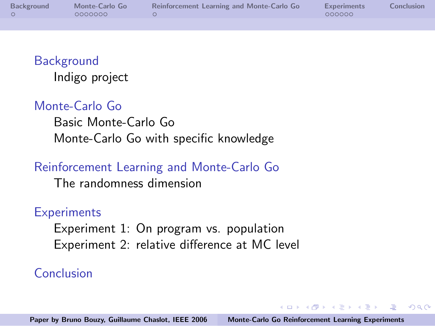| Background | Monte-Carlo Go | Reinforcement Learning and Monte-Carlo Go | <b>Experiments</b> | <b>Conclusion</b> |
|------------|----------------|-------------------------------------------|--------------------|-------------------|
|            | 0000000        |                                           | 000000             |                   |
|            |                |                                           |                    |                   |

#### **[Background](#page-2-0)** [Indigo project](#page-2-0)

#### [Monte-Carlo Go](#page-3-0)

[Basic Monte-Carlo Go](#page-3-0) [Monte-Carlo Go with specific knowledge](#page-6-0)

#### [Reinforcement Learning and Monte-Carlo Go](#page-10-0)

[The randomness dimension](#page-11-0)

#### **[Experiments](#page-12-0)**

[Experiment 1: On program vs. population](#page-12-0) [Experiment 2: relative difference at MC level](#page-16-0)

#### [Conclusion](#page-18-0)

イロメ イ何 メラモン イラメ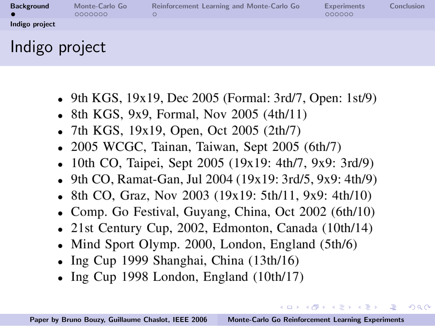| <b>Background</b> | Monte-Carlo Go<br>0000000 | Reinforcement Learning and Monte-Carlo Go | <b>Experiments</b><br>000000 | Conclusion |
|-------------------|---------------------------|-------------------------------------------|------------------------------|------------|
| Indigo project    |                           |                                           |                              |            |
| Indigo project    |                           |                                           |                              |            |

- 9th KGS, 19x19, Dec 2005 (Formal: 3rd/7, Open: 1st/9)
- 8th KGS, 9x9, Formal, Nov 2005  $(4th/11)$
- 7th KGS, 19x19, Open, Oct 2005  $(2th/7)$
- 2005 WCGC, Tainan, Taiwan, Sept  $2005$  (6th/7)
- 10th CO, Taipei, Sept 2005 (19x19: 4th/7, 9x9: 3rd/9)
- 9th CO, Ramat-Gan, Jul 2004 (19x19: 3rd/5, 9x9: 4th/9)
- 8th CO, Graz, Nov 2003 (19x19: 5th/11, 9x9: 4th/10)
- Comp. Go Festival, Guyang, China, Oct 2002 (6th/10)
- 21st Century Cup, 2002, Edmonton, Canada (10th/14)
- Mind Sport Olymp. 2000, London, England  $(5th/6)$
- Ing Cup 1999 Shanghai, China  $(13th/16)$
- Ing Cup 1998 London, England  $(10th/17)$

<span id="page-2-0"></span> $(0,1)$   $(0,1)$   $(0,1)$   $(1,1)$   $(1,1)$   $(1,1)$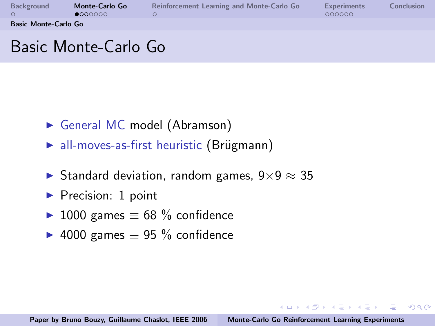| Background                  | Monte-Carlo Go<br>•0000000 | Reinforcement Learning and Monte-Carlo Go | <b>Experiments</b><br>000000 | Conclusion |
|-----------------------------|----------------------------|-------------------------------------------|------------------------------|------------|
| <b>Basic Monte-Carlo Go</b> |                            |                                           |                              |            |
|                             |                            |                                           |                              |            |

# Basic Monte-Carlo Go

- General MC model (Abramson)
- $\triangleright$  all-moves-as-first heuristic (Brügmann)
- ► Standard deviation, random games,  $9 \times 9 \approx 35$
- $\blacktriangleright$  Precision: 1 point
- ► 1000 games  $\equiv$  68 % confidence
- ► 4000 games  $\equiv$  95 % confidence

イロト イ押ト イチト イチト

<span id="page-3-0"></span>压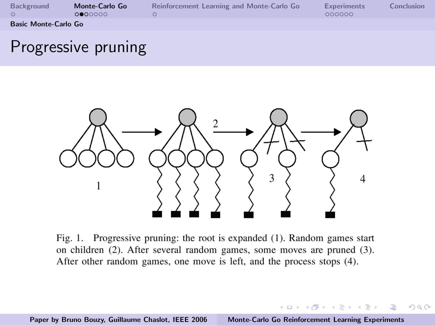| Background                  | Monte-Carlo Go<br>0000000 | Reinforcement Learning and Monte-Carlo Go | <b>Experiments</b><br>000000 | Conclusion |
|-----------------------------|---------------------------|-------------------------------------------|------------------------------|------------|
| <b>Basic Monte-Carlo Go</b> |                           |                                           |                              |            |

### Progressive pruning



Fig. 1. Progressive pruning: the root is expanded (1). Random games start on children (2). After several random games, some moves are pruned (3). After other random games, one move is left, and the process stops (4).

Paper by Bruno Bouzy, Guillaume Chaslot, IEEE 2006 [Monte-Carlo Go Reinforcement Learning Experiments](#page-0-0)

イロメ イ御メ イヨメ イヨメ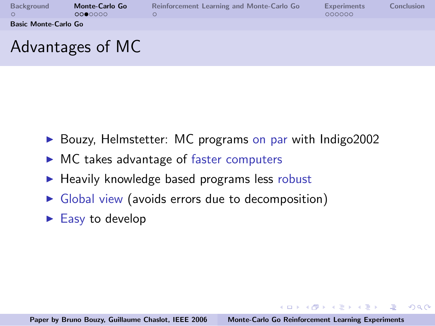| Background                  | Monte-Carlo Go<br>0000000 | Reinforcement Learning and Monte-Carlo Go | <b>Experiments</b><br>000000 | Conclusion |
|-----------------------------|---------------------------|-------------------------------------------|------------------------------|------------|
| <b>Basic Monte-Carlo Go</b> |                           |                                           |                              |            |
|                             | Advantages of MC          |                                           |                              |            |

- $\triangleright$  Bouzy, Helmstetter: MC programs on par with Indigo2002
- $\triangleright$  MC takes advantage of faster computers
- $\blacktriangleright$  Heavily knowledge based programs less robust
- $\triangleright$  Global view (avoids errors due to decomposition)
- $\blacktriangleright$  Easy to develop

 $(0,1)$   $(0,1)$   $(0,1)$   $(1,1)$   $(1,1)$   $(1,1)$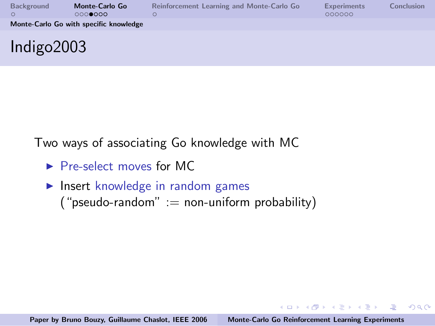| Background    | Monte-Carlo Go<br>0000000              | Reinforcement Learning and Monte-Carlo Go | <b>Experiments</b><br>000000 | Conclusion |
|---------------|----------------------------------------|-------------------------------------------|------------------------------|------------|
|               | Monte-Carlo Go with specific knowledge |                                           |                              |            |
| Indigo $2003$ |                                        |                                           |                              |            |

Two ways of associating Go knowledge with MC

- $\blacktriangleright$  Pre-select moves for MC
- $\blacktriangleright$  Insert knowledge in random games ("pseudo-random" := non-uniform probability)

イロメ イ部メ イヨメ イヨメー

 $\equiv$ 

<span id="page-6-0"></span> $OQ$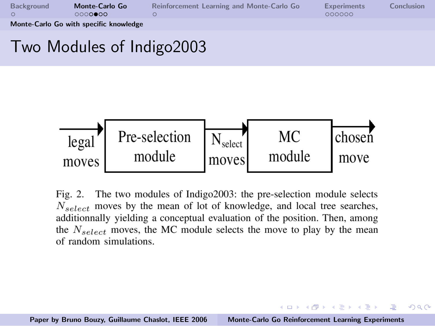| Background | Monte-Carlo Go<br>0000000              | Reinforcement Learning and Monte-Carlo Go | <b>Experiments</b><br>000000 | Conclusion |
|------------|----------------------------------------|-------------------------------------------|------------------------------|------------|
|            | Monte-Carlo Go with specific knowledge |                                           |                              |            |

# Two Modules of Indigo2003



Fig. 2. The two modules of Indigo2003: the pre-selection module selects  $N_{select}$  moves by the mean of lot of knowledge, and local tree searches, additionnally yielding a conceptual evaluation of the position. Then, among the  $N_{select}$  moves, the MC module selects the move to play by the mean of random simulations.

イロト イ押ト イチト イチト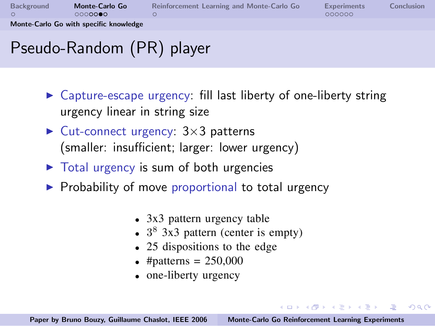| Background | Monte-Carlo Go                         | Reinforcement Learning and Monte-Carlo Go | <b>Experiments</b> | Conclusion |
|------------|----------------------------------------|-------------------------------------------|--------------------|------------|
|            | 0000000                                |                                           | 000000             |            |
|            | Monte-Carlo Go with specific knowledge |                                           |                    |            |

# Pseudo-Random (PR) player

- $\triangleright$  Capture-escape urgency: fill last liberty of one-liberty string urgency linear in string size
- $\blacktriangleright$  Cut-connect urgency:  $3\times3$  patterns (smaller: insufficient; larger: lower urgency)
- $\triangleright$  Total urgency is sum of both urgencies
- $\triangleright$  Probability of move proportional to total urgency
	- $\bullet$  3x3 pattern urgency table
	- $3^8$  3x3 pattern (center is empty)
	- 25 dispositions to the edge
	- #patterns =  $250,000$
	- one-liberty urgency

 $(0,1)$   $(0,1)$   $(0,1)$   $(1,1)$   $(1,1)$   $(1,1)$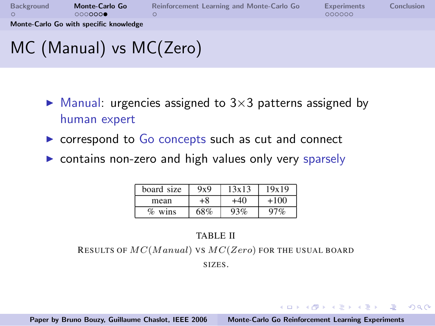| Background | Monte-Carlo Go<br>0000000              | Reinforcement Learning and Monte-Carlo Go | <b>Experiments</b><br>000000 | Conclusion |
|------------|----------------------------------------|-------------------------------------------|------------------------------|------------|
|            | Monte-Carlo Go with specific knowledge |                                           |                              |            |
|            | MC (Manual) vs MC(Zero)                |                                           |                              |            |

- $\blacktriangleright$  Manual: urgencies assigned to 3×3 patterns assigned by human expert
- $\triangleright$  correspond to  $Go$  concepts such as cut and connect
- $\triangleright$  contains non-zero and high values only very sparsely

| board size | 9x9 | 13x13 | 19x19 |
|------------|-----|-------|-------|
| mean       | 8+  | +40   | +100  |
| %<br>wins  | 68% | 93%   |       |

#### **TABLE II**

RESULTS OF  $MC(Manual)$  VS  $MC(Zero)$  for the USUAL BOARD

SIZES.

イロト イ押ト イチト イチト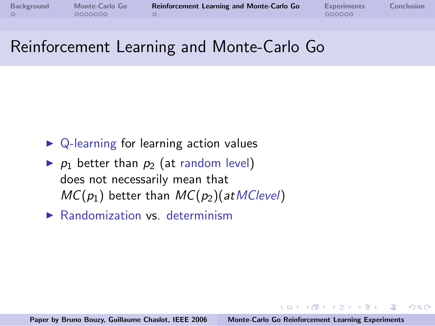イロメ イタメ イチメ イチメー

 $\Omega$ 

<span id="page-10-0"></span>遥

# Reinforcement Learning and Monte-Carlo Go

- $\triangleright$  Q-learning for learning action values
- $\triangleright$   $p_1$  better than  $p_2$  (at random level) does not necessarily mean that  $MC(p_1)$  better than  $MC(p_2)(atMC level)$
- $\blacktriangleright$  Randomization vs. determinism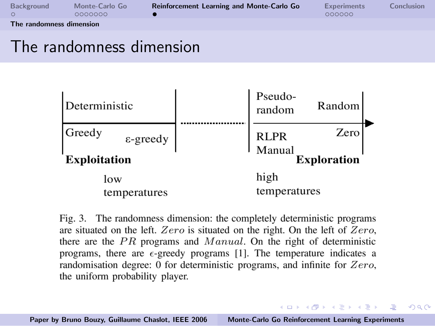| Background               | Monte-Carlo Go<br>0000000 | Reinforcement Learning and Monte-Carlo Go | <b>Experiments</b><br>000000 | Conclusion |  |
|--------------------------|---------------------------|-------------------------------------------|------------------------------|------------|--|
| The randomness dimension |                           |                                           |                              |            |  |

### The randomness dimension



Fig. 3. The randomness dimension: the completely deterministic programs are situated on the left. Zero is situated on the right. On the left of Zero, there are the  $PR$  programs and  $Manual$ . On the right of deterministic programs, there are  $\epsilon$ -greedy programs [1]. The temperature indicates a randomisation degree: 0 for deterministic programs, and infinite for  $Zero$ , the uniform probability player.

Paper by Bruno Bouzy, Guillaume Chaslot, IEEE 2006 [Monte-Carlo Go Reinforcement Learning Experiments](#page-0-0)

<span id="page-11-0"></span>イロメ イ部メ イヨメ イヨメー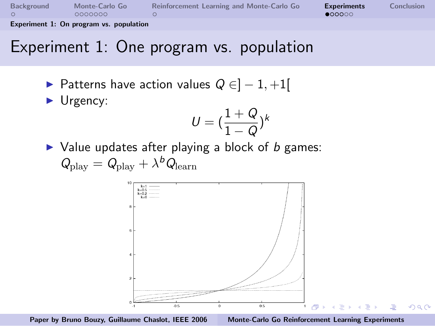| Background | Monte-Carlo Go | Reinforcement Learning and Monte-Carlo Go | <b>Experiments</b> | <b>Conclusion</b> |
|------------|----------------|-------------------------------------------|--------------------|-------------------|
|            | 0000000        |                                           | 000000             |                   |
|            |                |                                           |                    |                   |

Experiment 1: On program vs. population

# Experiment 1: One program vs. population

- $\triangleright$  Patterns have action values  $Q \in ]-1,+1[$
- $\blacktriangleright$  Urgency:

$$
U=(\frac{1+Q}{1-Q})^k
$$

 $\triangleright$  Value updates after playing a block of b games:  $Q_{\rm play}=Q_{\rm play}+\lambda^bQ_{\rm learn}$ 





<span id="page-12-0"></span>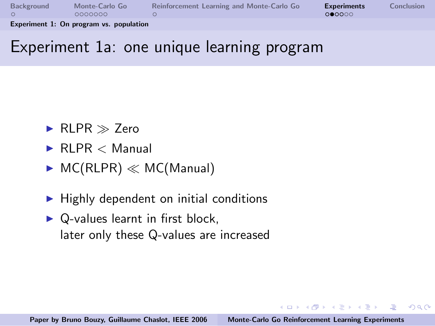| Background                              | Monte-Carlo Go | Reinforcement Learning and Monte-Carlo Go | <b>Experiments</b> | Conclusion |
|-----------------------------------------|----------------|-------------------------------------------|--------------------|------------|
|                                         | 0000000        |                                           | 000000             |            |
| Experiment 1: On program vs. population |                |                                           |                    |            |

### Experiment 1a: one unique learning program

- RI PR  $\gg$  7ero
- $\blacktriangleright$  RI PR  $\lt$  Manual
- $\triangleright$  MC(RLPR)  $\ll$  MC(Manual)
- $\blacktriangleright$  Highly dependent on initial conditions
- $\triangleright$  Q-values learnt in first block. later only these Q-values are increased

イロメ マ桐 メラミンマチャ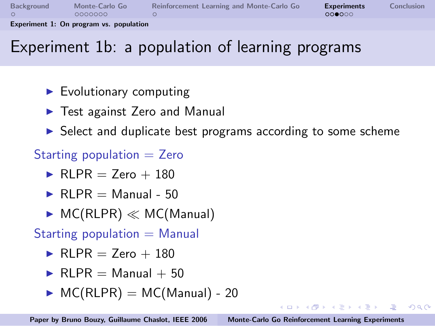| Background                              | Monte-Carlo Go | Reinforcement Learning and Monte-Carlo Go | <b>Experiments</b> | <b>Conclusion</b> |  |
|-----------------------------------------|----------------|-------------------------------------------|--------------------|-------------------|--|
|                                         | 0000000        |                                           | 000000             |                   |  |
| Experiment 1: On program vs. population |                |                                           |                    |                   |  |

# Experiment 1b: a population of learning programs

- $\blacktriangleright$  Evolutionary computing
- $\blacktriangleright$  Test against Zero and Manual
- $\triangleright$  Select and duplicate best programs according to some scheme
- Starting population  $=$  Zero
	- $\blacktriangleright$  RI PR = 7ero + 180
	- $\blacktriangleright$  RLPR = Manual 50
	- $\triangleright$  MC(RLPR)  $\ll$  MC(Manual)

Starting population  $=$  Manual

- $\blacktriangleright$  RI PR = 7ero + 180
- $\blacktriangleright$  RI PR = Manual + 50
- $\triangleright$  MC(RLPR) = MC(Manual) 20

イロト イ押ト イチト イチト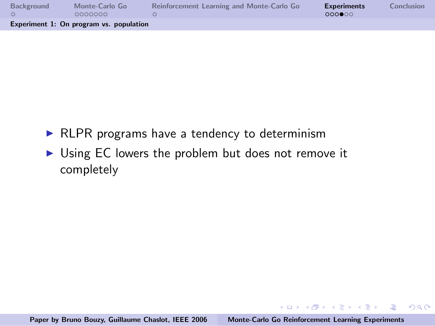| Background                              | Monte-Carlo Go | Reinforcement Learning and Monte-Carlo Go | <b>Experiments</b> | Conclusion |  |
|-----------------------------------------|----------------|-------------------------------------------|--------------------|------------|--|
|                                         | 0000000        |                                           | 000000             |            |  |
| Experiment 1: On program vs. population |                |                                           |                    |            |  |

- $\triangleright$  RLPR programs have a tendency to determinism
- $\triangleright$  Using EC lowers the problem but does not remove it completely

 $(1, 1)$   $(1, 1)$   $(1, 1)$   $(1, 1)$   $(1, 1)$   $(1, 1)$   $(1, 1)$   $(1, 1)$   $(1, 1)$ 

 $\equiv$ 

 $OQ$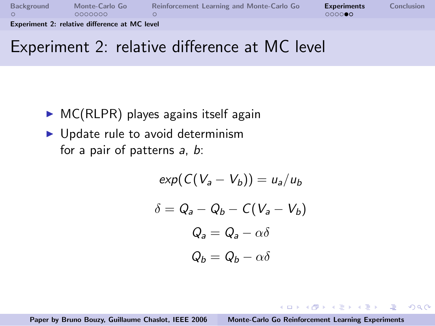| Background                                    | Monte-Carlo Go | Reinforcement Learning and Monte-Carlo Go | <b>Experiments</b> | Conclusion |
|-----------------------------------------------|----------------|-------------------------------------------|--------------------|------------|
|                                               | 0000000        |                                           | <u>റററററ</u> െ     |            |
| Experiment 2: relative difference at MC level |                |                                           |                    |            |

### Experiment 2: relative difference at MC level

- $\triangleright$  MC(RLPR) playes agains itself again
- $\blacktriangleright$  Update rule to avoid determinism for a pair of patterns a, b:

$$
exp(C(V_a - V_b)) = u_a/u_b
$$

$$
\delta = Q_a - Q_b - C(V_a - V_b)
$$

$$
Q_a = Q_a - \alpha \delta
$$

$$
Q_b = Q_b - \alpha \delta
$$

Paper by Bruno Bouzy, Guillaume Chaslot, IEEE 2006 [Monte-Carlo Go Reinforcement Learning Experiments](#page-0-0)

<span id="page-16-0"></span>マーター マーティング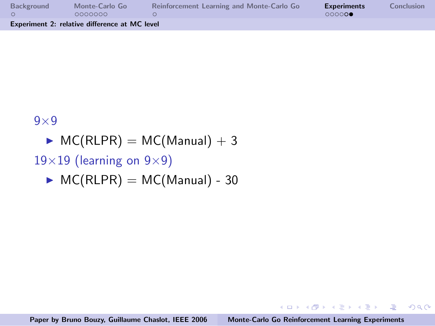| Background                                    | Monte-Carlo Go | Reinforcement Learning and Monte-Carlo Go | <b>Experiments</b> | <b>Conclusion</b> |
|-----------------------------------------------|----------------|-------------------------------------------|--------------------|-------------------|
|                                               | 0000000        |                                           | 00000              |                   |
| Experiment 2: relative difference at MC level |                |                                           |                    |                   |

 $9\times9$ 

- $M_c(RLPR) = MC(Manual) + 3$
- $19\times19$  (learning on  $9\times9$ )
	- $\triangleright$  MC(RLPR) = MC(Manual) 30

 $(1,1)$   $(1,1)$   $(1,1)$   $(1,1)$   $(1,1)$   $(1,1)$   $(1,1)$   $(1,1)$   $(1,1)$   $(1,1)$ 

压

 $OQ$